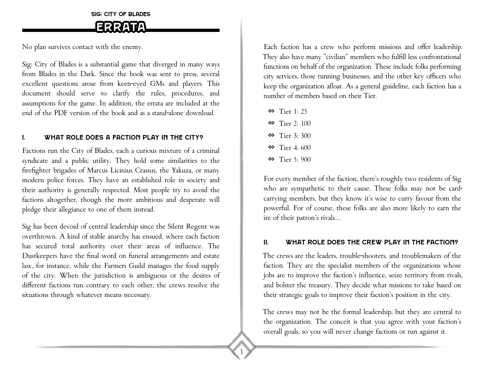Sig: City of Blades

# Errata

No plan survives contact with the enemy.

Sig: City of Blades is a substantial game that diverged in many ways from Blades in the Dark. Since the book was sent to press, several excellent questions arose from keen-eyed GMs and players. This document should serve to clarify the rules, procedures, and assumptions for the game. In addition, the errata are included at the end of the PDF version of the book and as a stand-alone download.

# I. What role does a faction play in the city?

Factions run the City of Blades, each a curious mixture of a criminal syndicate and a public utility. They hold some similarities to the firefighter brigades of Marcus Licinius Crassus, the Yakuza, or many modern police forces. They have an established role in society and their authority is generally respected. Most people try to avoid the factions altogether, though the more ambitious and desperate will pledge their allegiance to one of them instead.

Sig has been devoid of central leadership since the Silent Regent was overthrown. A kind of stable anarchy has ensued, where each faction has secured total authority over their areas of influence. The Dustkeepers have the final word on funeral arrangements and estate law, for instance, while the Farmers Guild manages the food supply of the city. When the jurisdiction is ambiguous or the desires of different factions run contrary to each other, the crews resolve the situations through whatever means necessary.

Each faction has a crew who perform missions and offer leadership. They also have many "civilian" members who fulfill less confrontational functions on behalf of the organization. These include folks performing city services, those running businesses, and the other key officers who keep the organization afloat. As a general guideline, each faction has a number of members based on their Tier.

- $\bullet$  Tier 1: 25
- $\bullet$  Tier 2: 100
- $\otimes$  Tier 3: 300
- $\bullet$  Tier 4: 600
- $\bullet$  Tier 5: 900

1

For every member of the faction, there's roughly two residents of Sig who are sympathetic to their cause. These folks may not be cardcarrying members, but they know it's wise to curry favour from the powerful. For of course, these folks are also more likely to earn the ire of their patron's rivals….

## II. What role does the crew play in the faction?

The crews are the leaders, trouble-shooters, and troublemakers of the faction. They are the specialist members of the organizations whose jobs are to improve the faction's influence, seize territory from rivals, and bolster the treasury. They decide what missions to take based on their strategic goals to improve their faction's position in the city.

The crews may not be the formal leadership, but they are central to the organization. The conceit is that you agree with your faction's overall goals, so you will never change factions or run against it.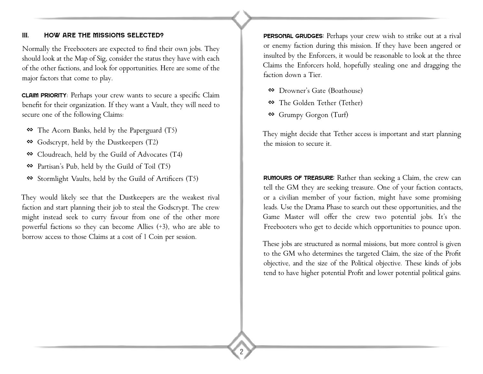## III. How are the missions selected?

Normally the Freebooters are expected to find their own jobs. They should look at the Map of Sig, consider the status they have with each of the other factions, and look for opportunities. Here are some of the major factors that come to play.

Claim Priority: Perhaps your crew wants to secure a specific Claim benefit for their organization. If they want a Vault, they will need to secure one of the following Claims:

- � The Acorn Banks, held by the Paperguard (T5)
- $\otimes$  Godscrypt, held by the Dustkeepers (T2)
- � Cloudreach, held by the Guild of Advocates (T4)
- � Partisan's Pub, held by the Guild of Toil (T5)
- � Stormlight Vaults, held by the Guild of Artificers (T5)

They would likely see that the Dustkeepers are the weakest rival faction and start planning their job to steal the Godscrypt. The crew might instead seek to curry favour from one of the other more powerful factions so they can become Allies (+3), who are able to borrow access to those Claims at a cost of 1 Coin per session.

PERSONAL GRUDGES: Perhaps your crew wish to strike out at a rival or enemy faction during this mission. If they have been angered or insulted by the Enforcers, it would be reasonable to look at the three Claims the Enforcers hold, hopefully stealing one and dragging the faction down a Tier.

- � Drowner's Gate (Boathouse)
- � The Golden Tether (Tether)
- � Grumpy Gorgon (Turf)

They might decide that Tether access is important and start planning the mission to secure it.

Rumours of Treasure: Rather than seeking a Claim, the crew can tell the GM they are seeking treasure. One of your faction contacts, or a civilian member of your faction, might have some promising leads. Use the Drama Phase to search out these opportunities, and the Game Master will offer the crew two potential jobs. It's the Freebooters who get to decide which opportunities to pounce upon.

These jobs are structured as normal missions, but more control is given to the GM who determines the targeted Claim, the size of the Profit objective, and the size of the Political objective. These kinds of jobs tend to have higher potential Profit and lower potential political gains.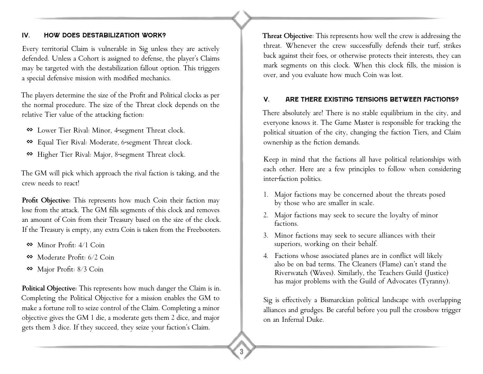## IV. How does Destabilization Work?

Every territorial Claim is vulnerable in Sig unless they are actively defended. Unless a Cohort is assigned to defense, the player's Claims may be targeted with the destabilization fallout option. This triggers a special defensive mission with modified mechanics.

The players determine the size of the Profit and Political clocks as per the normal procedure. The size of the Threat clock depends on the relative Tier value of the attacking faction:

- � Lower Tier Rival: Minor, 4-segment Threat clock.
- � Equal Tier Rival: Moderate, 6-segment Threat clock.
- � Higher Tier Rival: Major, 8-segment Threat clock.

The GM will pick which approach the rival faction is taking, and the crew needs to react!

Profit Objective: This represents how much Coin their faction may lose from the attack. The GM fills segments of this clock and removes an amount of Coin from their Treasury based on the size of the clock. If the Treasury is empty, any extra Coin is taken from the Freebooters.

- $\otimes$  Minor Profit:  $4/1$  Coin
- � Moderate Profit: 6/2 Coin
- � Major Profit: 8/3 Coin

**Political Objective:** This represents how much danger the Claim is in. Completing the Political Objective for a mission enables the GM to make a fortune roll to seize control of the Claim. Completing a minor objective gives the GM 1 die, a moderate gets them 2 dice, and major gets them 3 dice. If they succeed, they seize your faction's Claim.

**Threat Objective**: This represents how well the crew is addressing the threat. Whenever the crew successfully defends their turf, strikes back against their foes, or otherwise protects their interests, they can mark segments on this clock. When this clock fills, the mission is over, and you evaluate how much Coin was lost.

## V. Are there existing Tensions between Factions?

There absolutely are! There is no stable equilibrium in the city, and everyone knows it. The Game Master is responsible for tracking the political situation of the city, changing the faction Tiers, and Claim ownership as the fiction demands.

Keep in mind that the factions all have political relationships with each other. Here are a few principles to follow when considering inter-faction politics.

- 1. Major factions may be concerned about the threats posed by those who are smaller in scale.
- 2. Major factions may seek to secure the loyalty of minor factions.
- 3. Minor factions may seek to secure alliances with their superiors, working on their behalf.
- 4. Factions whose associated planes are in conflict will likely also be on bad terms. The Cleaners (Flame) can't stand the Riverwaʨh (Waves). Similarly, the Teachers Guild (Justice) has major problems with the Guild of Advocates (Tyranny).

Sig is effectively a Bismarckian political landscape with overlapping alliances and grudges. Be careful before you pull the crossbow trigger on an Infernal Duke.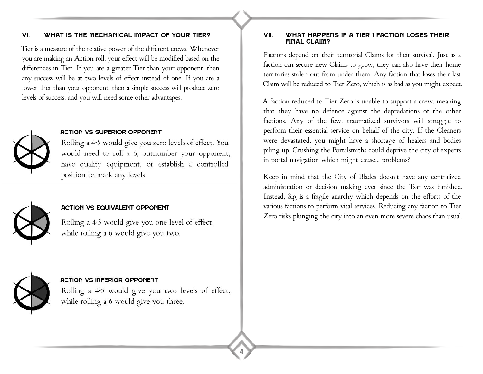## VI. What is the mechanical impact of your Tier?

Tier is a measure of the relative power of the different crews. Whenever you are making an Action roll, your effect will be modified based on the differences in Tier. If you are a greater Tier than your opponent, then any success will be at two levels of effect instead of one. If you are a lower Tier than your opponent, then a simple success will produce zero levels of success, and you will need some other advantages.



## **ACTION VS SUPERIOR OPPONENT**

Rolling a 4-5 would give you zero levels of effect. You would need to roll a 6, outnumber your opponent, have quality equipment, or establish a controlled position to mark any levels.



## **ACTION VS EQUIVALENT OPPONENT**

Rolling a 4-5 would give you one level of effect, while rolling a 6 would give you two.



#### **ACTION VS INFERIOR OPPONENT**

Rolling a 4-5 would give you two levels of effect, while rolling a 6 would give you three.

4

#### VII. What happens if a Tier 1 faction loses their final Claim?

Factions depend on their territorial Claims for their survival. Just as a faction can secure new Claims to grow, they can also have their home territories stolen out from under them. Any faction that loses their last Claim will be reduced to Tier Zero, which is as bad as you might expect.

A faction reduced to Tier Zero is unable to support a crew, meaning that they have no defence against the depredations of the other factions. Any of the few, traumatized survivors will struggle to perform their essential service on behalf of the city. If the Cleaners were devastated, you might have a shortage of healers and bodies piling up. Crushing the Portalsmiths could deprive the city of experts in portal navigation which might cause… problems?

Keep in mind that the City of Blades doesn't have any centralized administration or decision making ever since the Tsar was banished. Instead, Sig is a fragile anarchy which depends on the efforts of the various factions to perform vital services. Reducing any faction to Tier Zero risks plunging the city into an even more severe chaos than usual.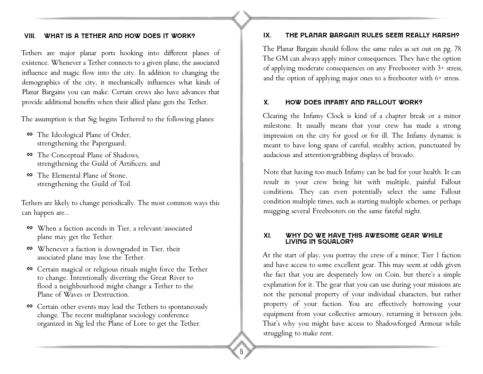## VIII. What is a Tether and how does it work?

Tethers are major planar ports hooking into different planes of existence. Whenever a Tether connects to a given plane, the associated influence and magic flow into the city. In addition to changing the demographics of the city, it mechanically influences what kinds of Planar Bargains you can make. Certain crews also have advances that provide additional benefits when their allied plane gets the Tether.

The assumption is that Sig begins Tethered to the following planes:

- � The Ideological Plane of Order, strengthening the Paperguard;
- � The Conceptual Plane of Shadows, strengthening the Guild of Artificers; and
- � The Elemental Plane of Stone, strengthening the Guild of Toil.

Tethers are likely to change periodically. The most common ways this can happen are...

- � When a faction ascends in Tier, a relevant/associated plane may get the Tether.
- � Whenever a faction is downgraded in Tier, their associated plane may lose the Tether.
- � Certain magical or religious rituals might force the Tether to change. Intentionally diverting the Great River to flood a neighbourhood might change a Tether to the Plane of Waves or Destruction.
- � Certain other events may lead the Tethers to spontaneously change. The recent multiplanar sociology conference organized in Sig led the Plane of Lore to get the Tether.

## IX. The Planar Bargain rules seem really harsh?

The Planar Bargain should follow the same rules as set out on pg. 78. The GM can always apply minor consequences. They have the option of applying moderate consequences on any Freebooter with 3+ stress, and the option of applying major ones to a freebooter with 6+ stress.

## X. How does infamy and fallout work?

Clearing the Infamy Clock is kind of a chapter break or a minor milestone. It usually means that your crew has made a strong impression on the city for good or for ill. The Infamy dynamic is meant to have long spans of careful, stealthy action, punctuated by audacious and attention-grabbing displays of bravado.

Note that having too much Infamy can be bad for your health. It can result in your crew being hit with multiple, painful Fallout conditions. They can even potentially select the same Fallout condition multiple times, such as starting multiple schemes, or perhaps mugging several Freebooters on the same fateful night.

#### XI. Why do we have this awesome gear while LIVING IN SQUALOR?

At the start of play, you portray the crew of a minor, Tier 1 faction and have access to some excellent gear. This may seem at odds given the fact that you are desperately low on Coin, but there's a simple explanation for it. The gear that you can use during your missions are not the personal property of your individual characters, but rather property of your faction. You are effectively borrowing your equipment from your collective armoury, returning it between jobs. That's why you might have access to Shadowforged Armour while struggling to make rent.